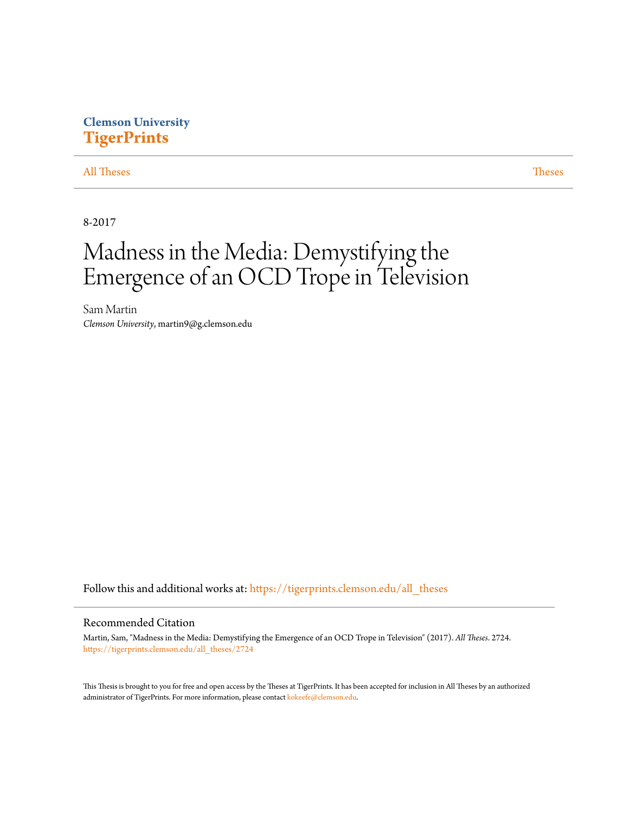# **Clemson University [TigerPrints](https://tigerprints.clemson.edu?utm_source=tigerprints.clemson.edu%2Fall_theses%2F2724&utm_medium=PDF&utm_campaign=PDFCoverPages)**

## [All Theses](https://tigerprints.clemson.edu/all_theses?utm_source=tigerprints.clemson.edu%2Fall_theses%2F2724&utm_medium=PDF&utm_campaign=PDFCoverPages) **[Theses](https://tigerprints.clemson.edu/theses?utm_source=tigerprints.clemson.edu%2Fall_theses%2F2724&utm_medium=PDF&utm_campaign=PDFCoverPages)**

8-2017

# Madness in the Media: Demystifying the Emergence of an OCD Trope in Television

Sam Martin *Clemson University*, martin9@g.clemson.edu

Follow this and additional works at: [https://tigerprints.clemson.edu/all\\_theses](https://tigerprints.clemson.edu/all_theses?utm_source=tigerprints.clemson.edu%2Fall_theses%2F2724&utm_medium=PDF&utm_campaign=PDFCoverPages)

#### Recommended Citation

Martin, Sam, "Madness in the Media: Demystifying the Emergence of an OCD Trope in Television" (2017). *All Theses*. 2724. [https://tigerprints.clemson.edu/all\\_theses/2724](https://tigerprints.clemson.edu/all_theses/2724?utm_source=tigerprints.clemson.edu%2Fall_theses%2F2724&utm_medium=PDF&utm_campaign=PDFCoverPages)

This Thesis is brought to you for free and open access by the Theses at TigerPrints. It has been accepted for inclusion in All Theses by an authorized administrator of TigerPrints. For more information, please contact [kokeefe@clemson.edu](mailto:kokeefe@clemson.edu).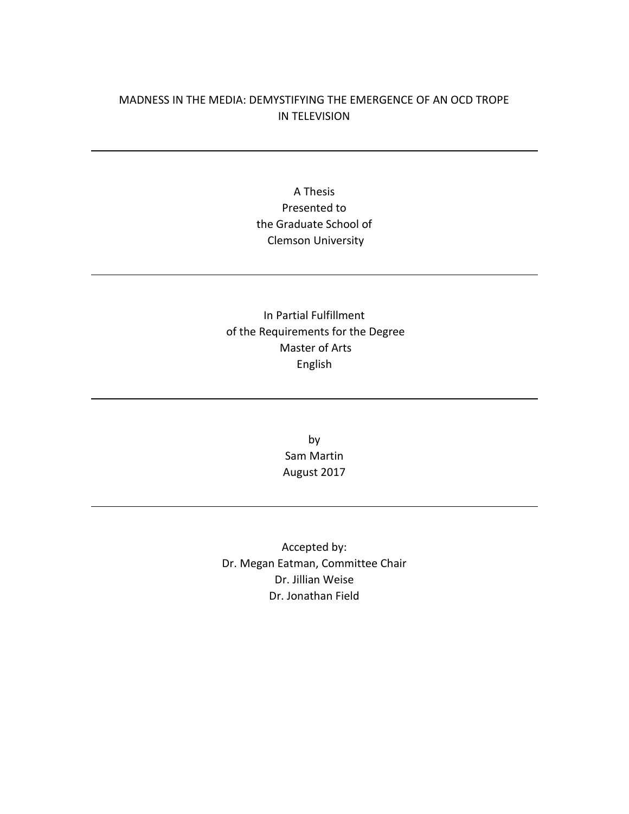## MADNESS IN THE MEDIA: DEMYSTIFYING THE EMERGENCE OF AN OCD TROPE IN TELEVISION

# A Thesis Presented to the Graduate School of Clemson University

# In Partial Fulfillment of the Requirements for the Degree Master of Arts English

by Sam Martin August 2017

Accepted by: Dr. Megan Eatman, Committee Chair Dr. Jillian Weise Dr. Jonathan Field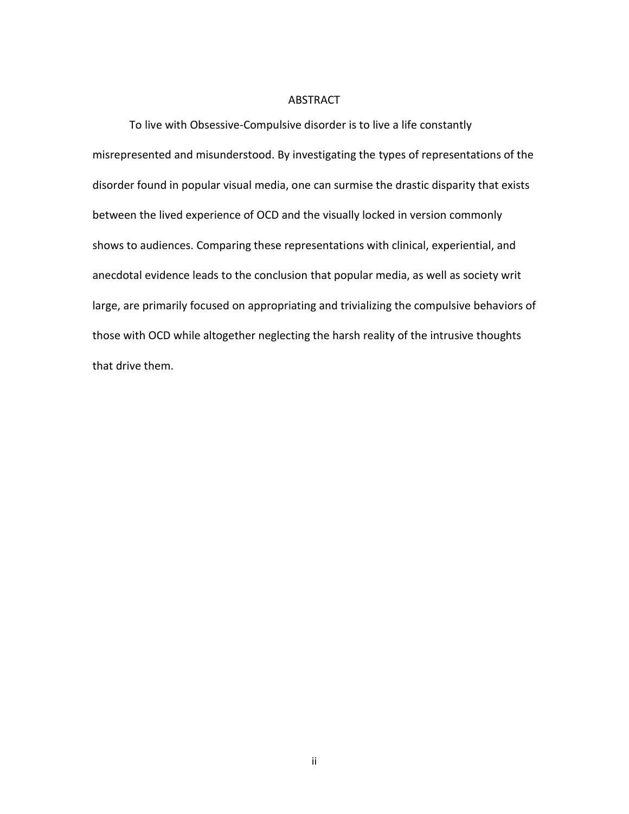#### ABSTRACT

To live with Obsessive-Compulsive disorder is to live a life constantly misrepresented and misunderstood. By investigating the types of representations of the disorder found in popular visual media, one can surmise the drastic disparity that exists between the lived experience of OCD and the visually locked in version commonly shows to audiences. Comparing these representations with clinical, experiential, and anecdotal evidence leads to the conclusion that popular media, as well as society writ large, are primarily focused on appropriating and trivializing the compulsive behaviors of those with OCD while altogether neglecting the harsh reality of the intrusive thoughts that drive them.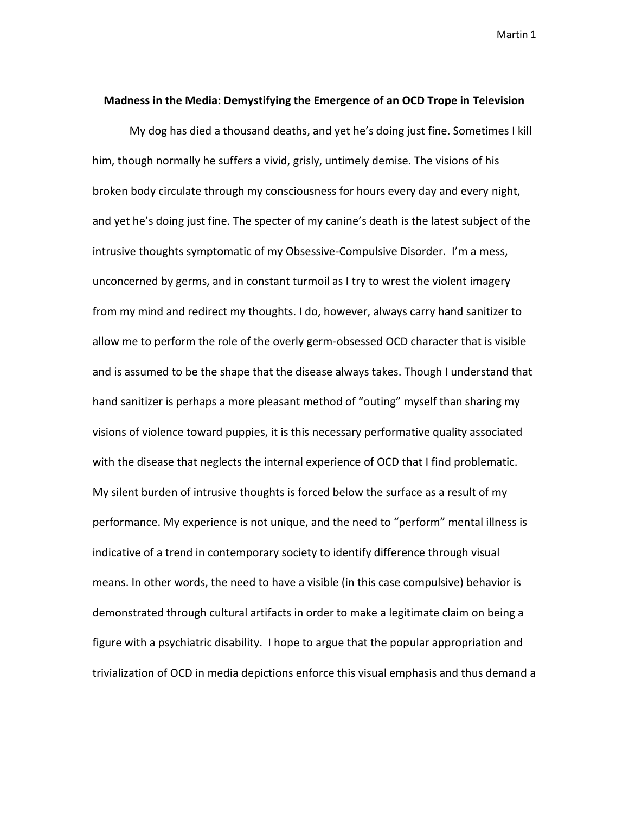#### **Madness in the Media: Demystifying the Emergence of an OCD Trope in Television**

My dog has died a thousand deaths, and yet he's doing just fine. Sometimes I kill him, though normally he suffers a vivid, grisly, untimely demise. The visions of his broken body circulate through my consciousness for hours every day and every night, and yet he's doing just fine. The specter of my canine's death is the latest subject of the intrusive thoughts symptomatic of my Obsessive-Compulsive Disorder. I'm a mess, unconcerned by germs, and in constant turmoil as I try to wrest the violent imagery from my mind and redirect my thoughts. I do, however, always carry hand sanitizer to allow me to perform the role of the overly germ-obsessed OCD character that is visible and is assumed to be the shape that the disease always takes. Though I understand that hand sanitizer is perhaps a more pleasant method of "outing" myself than sharing my visions of violence toward puppies, it is this necessary performative quality associated with the disease that neglects the internal experience of OCD that I find problematic. My silent burden of intrusive thoughts is forced below the surface as a result of my performance. My experience is not unique, and the need to "perform" mental illness is indicative of a trend in contemporary society to identify difference through visual means. In other words, the need to have a visible (in this case compulsive) behavior is demonstrated through cultural artifacts in order to make a legitimate claim on being a figure with a psychiatric disability. I hope to argue that the popular appropriation and trivialization of OCD in media depictions enforce this visual emphasis and thus demand a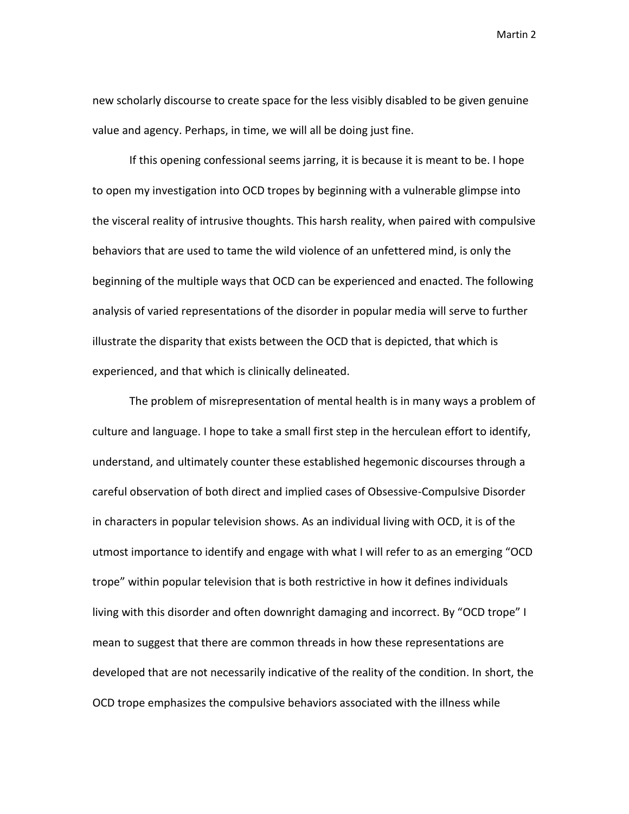new scholarly discourse to create space for the less visibly disabled to be given genuine value and agency. Perhaps, in time, we will all be doing just fine.

If this opening confessional seems jarring, it is because it is meant to be. I hope to open my investigation into OCD tropes by beginning with a vulnerable glimpse into the visceral reality of intrusive thoughts. This harsh reality, when paired with compulsive behaviors that are used to tame the wild violence of an unfettered mind, is only the beginning of the multiple ways that OCD can be experienced and enacted. The following analysis of varied representations of the disorder in popular media will serve to further illustrate the disparity that exists between the OCD that is depicted, that which is experienced, and that which is clinically delineated.

The problem of misrepresentation of mental health is in many ways a problem of culture and language. I hope to take a small first step in the herculean effort to identify, understand, and ultimately counter these established hegemonic discourses through a careful observation of both direct and implied cases of Obsessive-Compulsive Disorder in characters in popular television shows. As an individual living with OCD, it is of the utmost importance to identify and engage with what I will refer to as an emerging "OCD trope" within popular television that is both restrictive in how it defines individuals living with this disorder and often downright damaging and incorrect. By "OCD trope" I mean to suggest that there are common threads in how these representations are developed that are not necessarily indicative of the reality of the condition. In short, the OCD trope emphasizes the compulsive behaviors associated with the illness while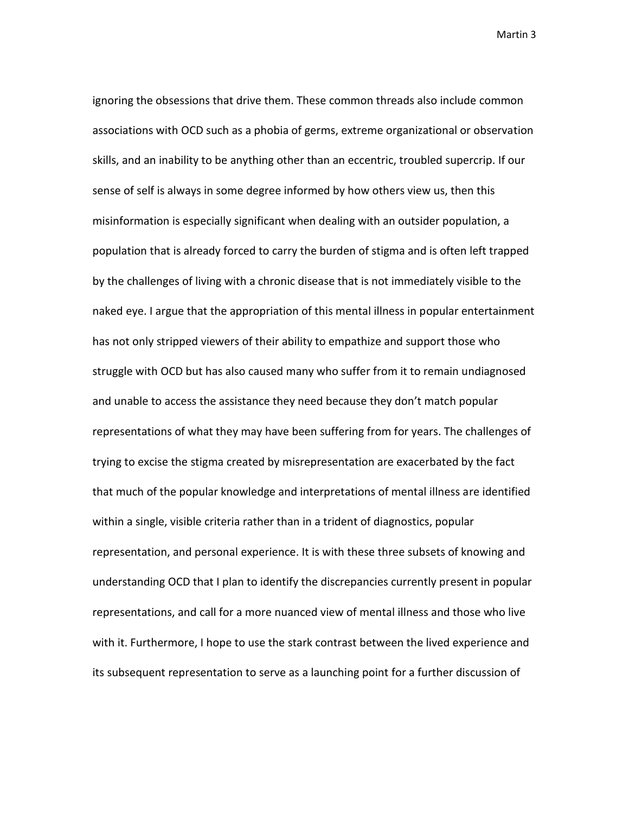ignoring the obsessions that drive them. These common threads also include common associations with OCD such as a phobia of germs, extreme organizational or observation skills, and an inability to be anything other than an eccentric, troubled supercrip. If our sense of self is always in some degree informed by how others view us, then this misinformation is especially significant when dealing with an outsider population, a population that is already forced to carry the burden of stigma and is often left trapped by the challenges of living with a chronic disease that is not immediately visible to the naked eye. I argue that the appropriation of this mental illness in popular entertainment has not only stripped viewers of their ability to empathize and support those who struggle with OCD but has also caused many who suffer from it to remain undiagnosed and unable to access the assistance they need because they don't match popular representations of what they may have been suffering from for years. The challenges of trying to excise the stigma created by misrepresentation are exacerbated by the fact that much of the popular knowledge and interpretations of mental illness are identified within a single, visible criteria rather than in a trident of diagnostics, popular representation, and personal experience. It is with these three subsets of knowing and understanding OCD that I plan to identify the discrepancies currently present in popular representations, and call for a more nuanced view of mental illness and those who live with it. Furthermore, I hope to use the stark contrast between the lived experience and its subsequent representation to serve as a launching point for a further discussion of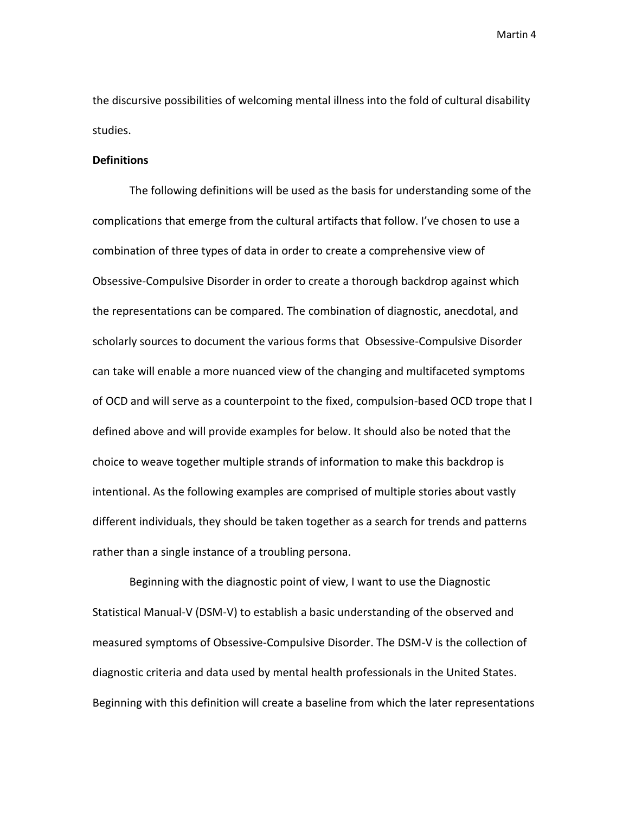the discursive possibilities of welcoming mental illness into the fold of cultural disability studies.

#### **Definitions**

The following definitions will be used as the basis for understanding some of the complications that emerge from the cultural artifacts that follow. I've chosen to use a combination of three types of data in order to create a comprehensive view of Obsessive-Compulsive Disorder in order to create a thorough backdrop against which the representations can be compared. The combination of diagnostic, anecdotal, and scholarly sources to document the various forms that Obsessive-Compulsive Disorder can take will enable a more nuanced view of the changing and multifaceted symptoms of OCD and will serve as a counterpoint to the fixed, compulsion-based OCD trope that I defined above and will provide examples for below. It should also be noted that the choice to weave together multiple strands of information to make this backdrop is intentional. As the following examples are comprised of multiple stories about vastly different individuals, they should be taken together as a search for trends and patterns rather than a single instance of a troubling persona.

Beginning with the diagnostic point of view, I want to use the Diagnostic Statistical Manual-V (DSM-V) to establish a basic understanding of the observed and measured symptoms of Obsessive-Compulsive Disorder. The DSM-V is the collection of diagnostic criteria and data used by mental health professionals in the United States. Beginning with this definition will create a baseline from which the later representations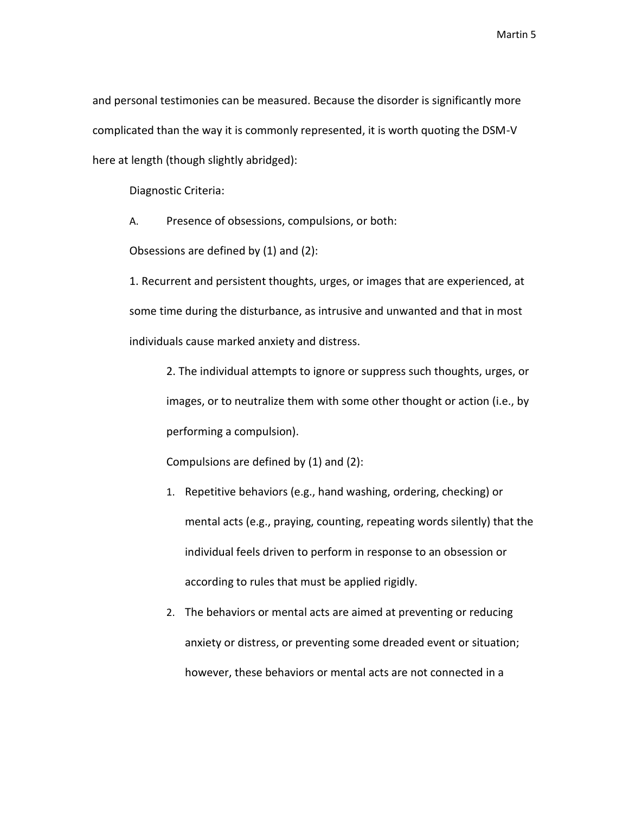and personal testimonies can be measured. Because the disorder is significantly more complicated than the way it is commonly represented, it is worth quoting the DSM-V here at length (though slightly abridged):

Diagnostic Criteria:

A. Presence of obsessions, compulsions, or both:

Obsessions are defined by (1) and (2):

1. Recurrent and persistent thoughts, urges, or images that are experienced, at some time during the disturbance, as intrusive and unwanted and that in most individuals cause marked anxiety and distress.

2. The individual attempts to ignore or suppress such thoughts, urges, or images, or to neutralize them with some other thought or action (i.e., by performing a compulsion).

Compulsions are defined by (1) and (2):

- 1. Repetitive behaviors (e.g., hand washing, ordering, checking) or mental acts (e.g., praying, counting, repeating words silently) that the individual feels driven to perform in response to an obsession or according to rules that must be applied rigidly.
- 2. The behaviors or mental acts are aimed at preventing or reducing anxiety or distress, or preventing some dreaded event or situation; however, these behaviors or mental acts are not connected in a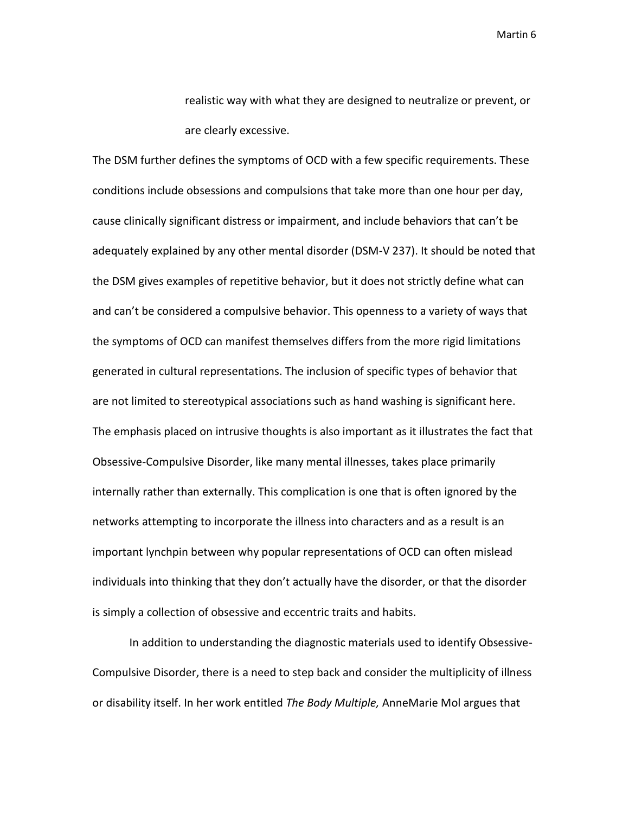realistic way with what they are designed to neutralize or prevent, or are clearly excessive.

The DSM further defines the symptoms of OCD with a few specific requirements. These conditions include obsessions and compulsions that take more than one hour per day, cause clinically significant distress or impairment, and include behaviors that can't be adequately explained by any other mental disorder (DSM-V 237). It should be noted that the DSM gives examples of repetitive behavior, but it does not strictly define what can and can't be considered a compulsive behavior. This openness to a variety of ways that the symptoms of OCD can manifest themselves differs from the more rigid limitations generated in cultural representations. The inclusion of specific types of behavior that are not limited to stereotypical associations such as hand washing is significant here. The emphasis placed on intrusive thoughts is also important as it illustrates the fact that Obsessive-Compulsive Disorder, like many mental illnesses, takes place primarily internally rather than externally. This complication is one that is often ignored by the networks attempting to incorporate the illness into characters and as a result is an important lynchpin between why popular representations of OCD can often mislead individuals into thinking that they don't actually have the disorder, or that the disorder is simply a collection of obsessive and eccentric traits and habits.

In addition to understanding the diagnostic materials used to identify Obsessive-Compulsive Disorder, there is a need to step back and consider the multiplicity of illness or disability itself. In her work entitled *The Body Multiple,* AnneMarie Mol argues that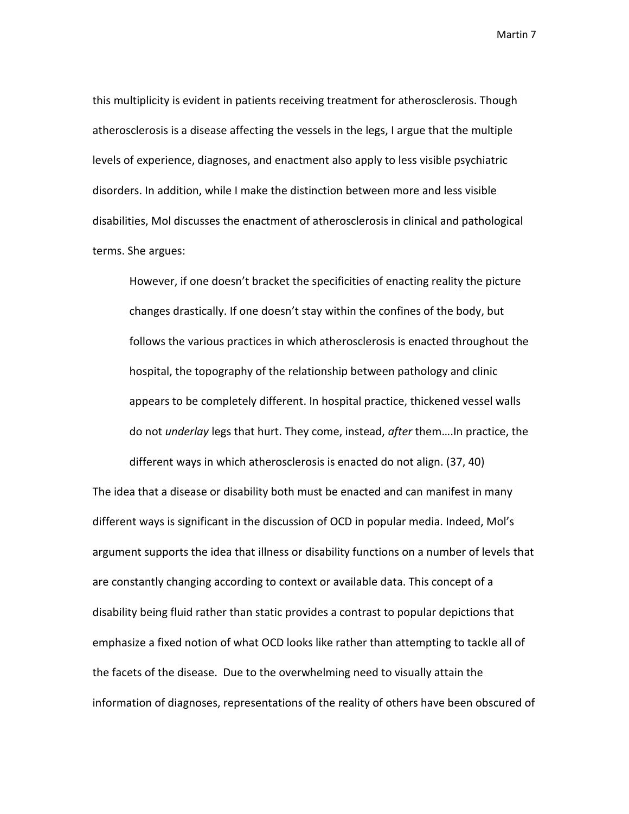this multiplicity is evident in patients receiving treatment for atherosclerosis. Though atherosclerosis is a disease affecting the vessels in the legs, I argue that the multiple levels of experience, diagnoses, and enactment also apply to less visible psychiatric disorders. In addition, while I make the distinction between more and less visible disabilities, Mol discusses the enactment of atherosclerosis in clinical and pathological terms. She argues:

However, if one doesn't bracket the specificities of enacting reality the picture changes drastically. If one doesn't stay within the confines of the body, but follows the various practices in which atherosclerosis is enacted throughout the hospital, the topography of the relationship between pathology and clinic appears to be completely different. In hospital practice, thickened vessel walls do not *underlay* legs that hurt. They come, instead, *after* them….In practice, the

The idea that a disease or disability both must be enacted and can manifest in many different ways is significant in the discussion of OCD in popular media. Indeed, Mol's argument supports the idea that illness or disability functions on a number of levels that are constantly changing according to context or available data. This concept of a disability being fluid rather than static provides a contrast to popular depictions that emphasize a fixed notion of what OCD looks like rather than attempting to tackle all of the facets of the disease. Due to the overwhelming need to visually attain the information of diagnoses, representations of the reality of others have been obscured of

different ways in which atherosclerosis is enacted do not align. (37, 40)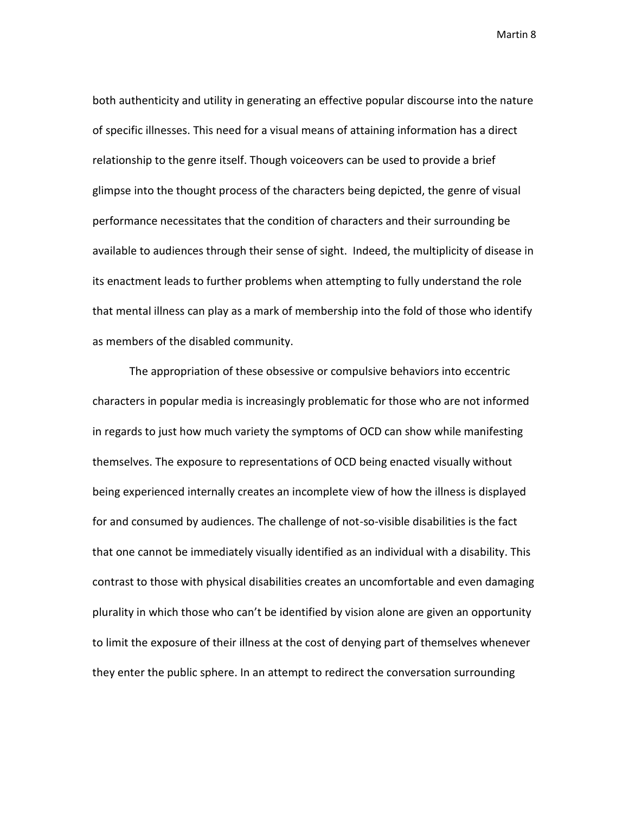both authenticity and utility in generating an effective popular discourse into the nature of specific illnesses. This need for a visual means of attaining information has a direct relationship to the genre itself. Though voiceovers can be used to provide a brief glimpse into the thought process of the characters being depicted, the genre of visual performance necessitates that the condition of characters and their surrounding be available to audiences through their sense of sight. Indeed, the multiplicity of disease in its enactment leads to further problems when attempting to fully understand the role that mental illness can play as a mark of membership into the fold of those who identify as members of the disabled community.

The appropriation of these obsessive or compulsive behaviors into eccentric characters in popular media is increasingly problematic for those who are not informed in regards to just how much variety the symptoms of OCD can show while manifesting themselves. The exposure to representations of OCD being enacted visually without being experienced internally creates an incomplete view of how the illness is displayed for and consumed by audiences. The challenge of not-so-visible disabilities is the fact that one cannot be immediately visually identified as an individual with a disability. This contrast to those with physical disabilities creates an uncomfortable and even damaging plurality in which those who can't be identified by vision alone are given an opportunity to limit the exposure of their illness at the cost of denying part of themselves whenever they enter the public sphere. In an attempt to redirect the conversation surrounding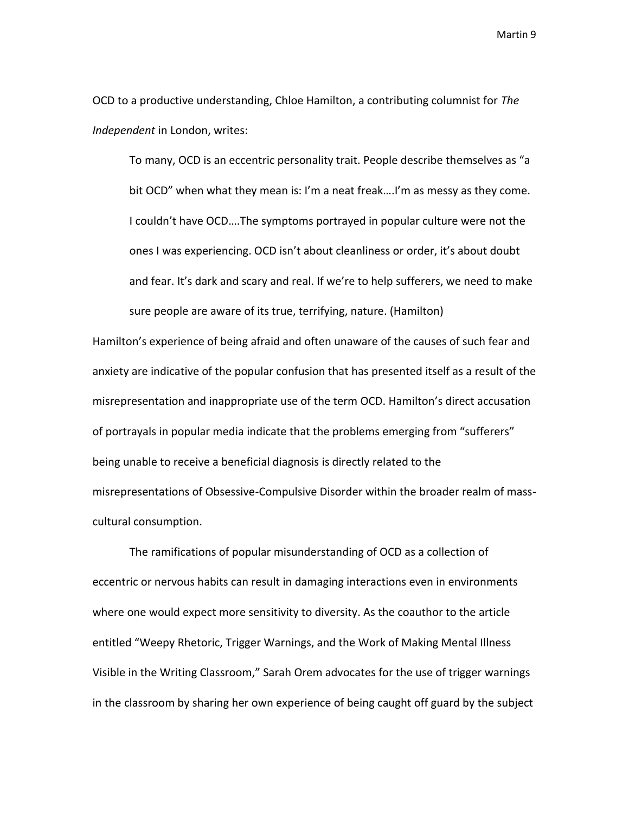OCD to a productive understanding, Chloe Hamilton, a contributing columnist for *The Independent* in London, writes:

To many, OCD is an eccentric personality trait. People describe themselves as "a bit OCD" when what they mean is: I'm a neat freak….I'm as messy as they come. I couldn't have OCD….The symptoms portrayed in popular culture were not the ones I was experiencing. OCD isn't about cleanliness or order, it's about doubt and fear. It's dark and scary and real. If we're to help sufferers, we need to make sure people are aware of its true, terrifying, nature. (Hamilton)

Hamilton's experience of being afraid and often unaware of the causes of such fear and anxiety are indicative of the popular confusion that has presented itself as a result of the misrepresentation and inappropriate use of the term OCD. Hamilton's direct accusation of portrayals in popular media indicate that the problems emerging from "sufferers" being unable to receive a beneficial diagnosis is directly related to the misrepresentations of Obsessive-Compulsive Disorder within the broader realm of masscultural consumption.

The ramifications of popular misunderstanding of OCD as a collection of eccentric or nervous habits can result in damaging interactions even in environments where one would expect more sensitivity to diversity. As the coauthor to the article entitled "Weepy Rhetoric, Trigger Warnings, and the Work of Making Mental Illness Visible in the Writing Classroom," Sarah Orem advocates for the use of trigger warnings in the classroom by sharing her own experience of being caught off guard by the subject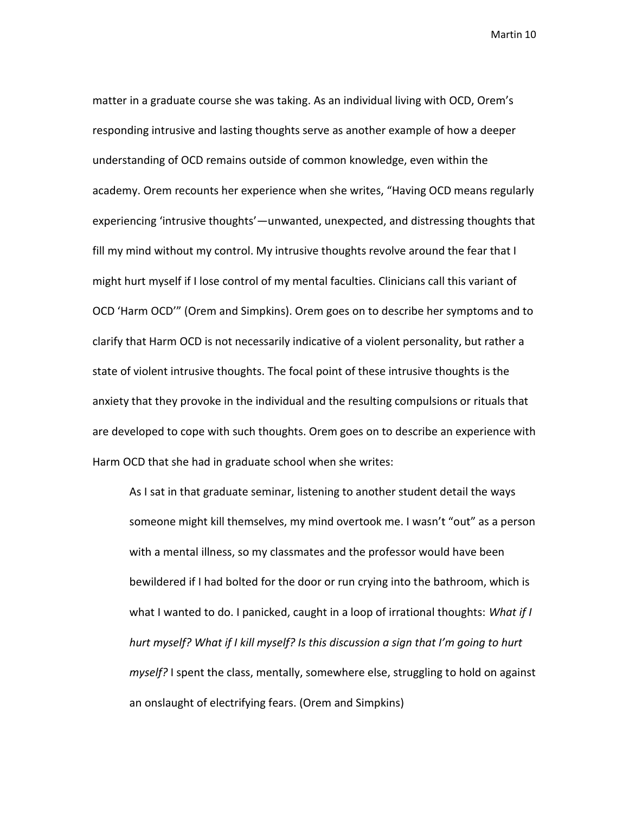matter in a graduate course she was taking. As an individual living with OCD, Orem's responding intrusive and lasting thoughts serve as another example of how a deeper understanding of OCD remains outside of common knowledge, even within the academy. Orem recounts her experience when she writes, "Having OCD means regularly experiencing 'intrusive thoughts'—unwanted, unexpected, and distressing thoughts that fill my mind without my control. My intrusive thoughts revolve around the fear that I might hurt myself if I lose control of my mental faculties. Clinicians call this variant of OCD 'Harm OCD'" (Orem and Simpkins). Orem goes on to describe her symptoms and to clarify that Harm OCD is not necessarily indicative of a violent personality, but rather a state of violent intrusive thoughts. The focal point of these intrusive thoughts is the anxiety that they provoke in the individual and the resulting compulsions or rituals that are developed to cope with such thoughts. Orem goes on to describe an experience with Harm OCD that she had in graduate school when she writes:

As I sat in that graduate seminar, listening to another student detail the ways someone might kill themselves, my mind overtook me. I wasn't "out" as a person with a mental illness, so my classmates and the professor would have been bewildered if I had bolted for the door or run crying into the bathroom, which is what I wanted to do. I panicked, caught in a loop of irrational thoughts: *What if I hurt myself? What if I kill myself? Is this discussion a sign that I'm going to hurt myself?* I spent the class, mentally, somewhere else, struggling to hold on against an onslaught of electrifying fears. (Orem and Simpkins)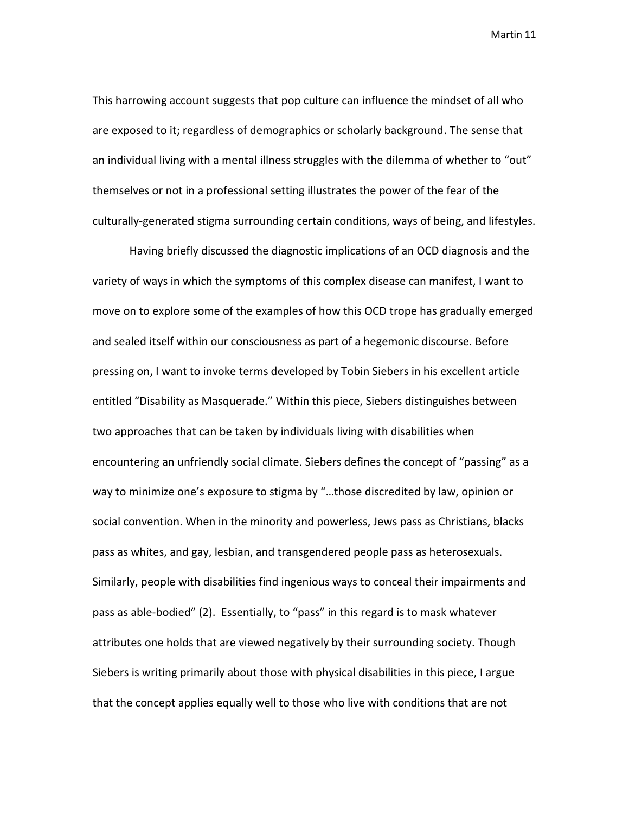This harrowing account suggests that pop culture can influence the mindset of all who are exposed to it; regardless of demographics or scholarly background. The sense that an individual living with a mental illness struggles with the dilemma of whether to "out" themselves or not in a professional setting illustrates the power of the fear of the culturally-generated stigma surrounding certain conditions, ways of being, and lifestyles.

Having briefly discussed the diagnostic implications of an OCD diagnosis and the variety of ways in which the symptoms of this complex disease can manifest, I want to move on to explore some of the examples of how this OCD trope has gradually emerged and sealed itself within our consciousness as part of a hegemonic discourse. Before pressing on, I want to invoke terms developed by Tobin Siebers in his excellent article entitled "Disability as Masquerade." Within this piece, Siebers distinguishes between two approaches that can be taken by individuals living with disabilities when encountering an unfriendly social climate. Siebers defines the concept of "passing" as a way to minimize one's exposure to stigma by "…those discredited by law, opinion or social convention. When in the minority and powerless, Jews pass as Christians, blacks pass as whites, and gay, lesbian, and transgendered people pass as heterosexuals. Similarly, people with disabilities find ingenious ways to conceal their impairments and pass as able-bodied" (2). Essentially, to "pass" in this regard is to mask whatever attributes one holds that are viewed negatively by their surrounding society. Though Siebers is writing primarily about those with physical disabilities in this piece, I argue that the concept applies equally well to those who live with conditions that are not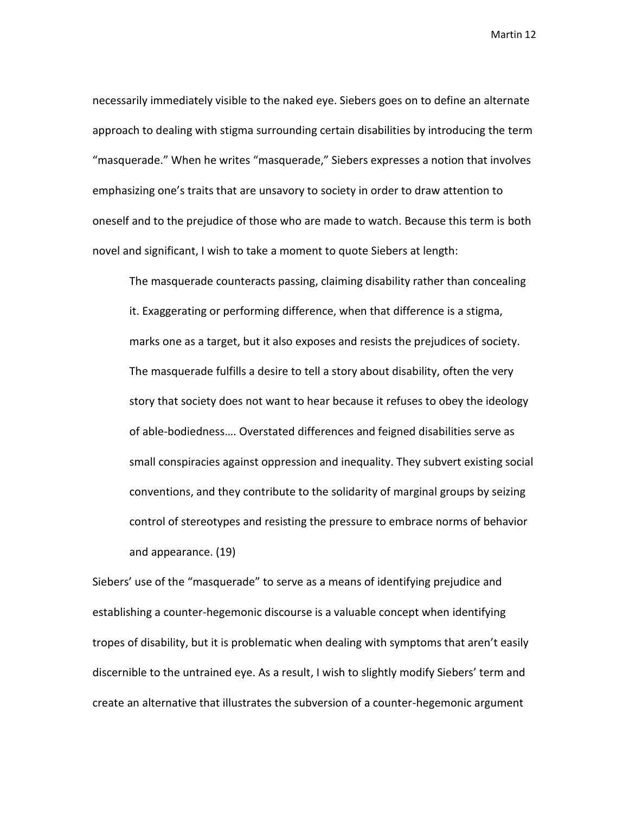necessarily immediately visible to the naked eye. Siebers goes on to define an alternate approach to dealing with stigma surrounding certain disabilities by introducing the term "masquerade." When he writes "masquerade," Siebers expresses a notion that involves emphasizing one's traits that are unsavory to society in order to draw attention to oneself and to the prejudice of those who are made to watch. Because this term is both novel and significant, I wish to take a moment to quote Siebers at length:

The masquerade counteracts passing, claiming disability rather than concealing it. Exaggerating or performing difference, when that difference is a stigma, marks one as a target, but it also exposes and resists the prejudices of society. The masquerade fulfills a desire to tell a story about disability, often the very story that society does not want to hear because it refuses to obey the ideology of able-bodiedness…. Overstated differences and feigned disabilities serve as small conspiracies against oppression and inequality. They subvert existing social conventions, and they contribute to the solidarity of marginal groups by seizing control of stereotypes and resisting the pressure to embrace norms of behavior and appearance. (19)

Siebers' use of the "masquerade" to serve as a means of identifying prejudice and establishing a counter-hegemonic discourse is a valuable concept when identifying tropes of disability, but it is problematic when dealing with symptoms that aren't easily discernible to the untrained eye. As a result, I wish to slightly modify Siebers' term and create an alternative that illustrates the subversion of a counter-hegemonic argument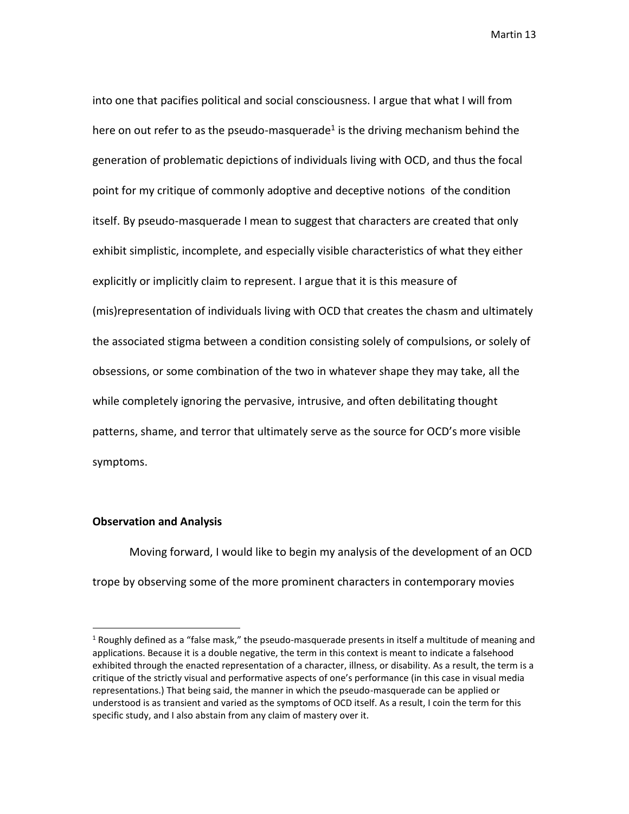into one that pacifies political and social consciousness. I argue that what I will from here on out refer to as the pseudo-masquerade<sup>1</sup> is the driving mechanism behind the generation of problematic depictions of individuals living with OCD, and thus the focal point for my critique of commonly adoptive and deceptive notions of the condition itself. By pseudo-masquerade I mean to suggest that characters are created that only exhibit simplistic, incomplete, and especially visible characteristics of what they either explicitly or implicitly claim to represent. I argue that it is this measure of (mis)representation of individuals living with OCD that creates the chasm and ultimately the associated stigma between a condition consisting solely of compulsions, or solely of obsessions, or some combination of the two in whatever shape they may take, all the while completely ignoring the pervasive, intrusive, and often debilitating thought patterns, shame, and terror that ultimately serve as the source for OCD's more visible symptoms.

### **Observation and Analysis**

 $\overline{\phantom{a}}$ 

Moving forward, I would like to begin my analysis of the development of an OCD trope by observing some of the more prominent characters in contemporary movies

 $1$  Roughly defined as a "false mask," the pseudo-masquerade presents in itself a multitude of meaning and applications. Because it is a double negative, the term in this context is meant to indicate a falsehood exhibited through the enacted representation of a character, illness, or disability. As a result, the term is a critique of the strictly visual and performative aspects of one's performance (in this case in visual media representations.) That being said, the manner in which the pseudo-masquerade can be applied or understood is as transient and varied as the symptoms of OCD itself. As a result, I coin the term for this specific study, and I also abstain from any claim of mastery over it.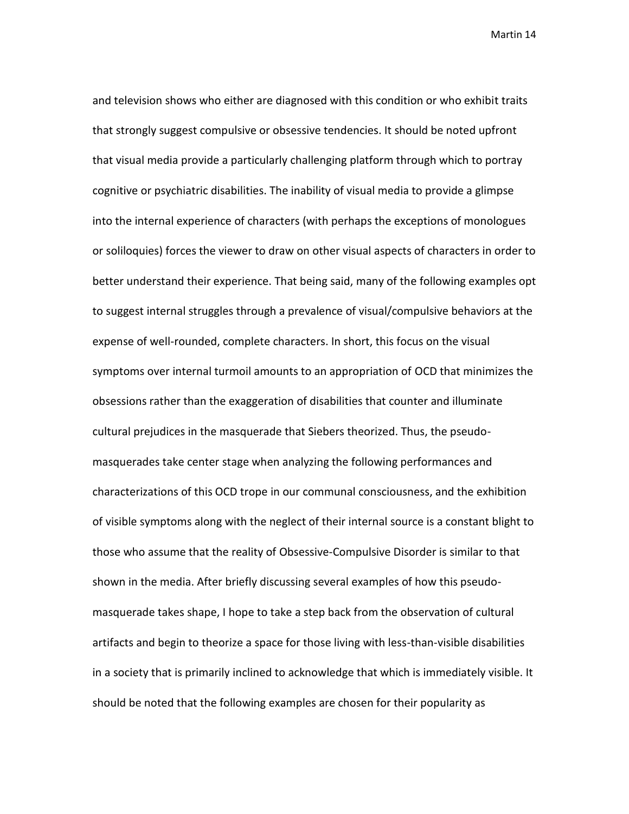and television shows who either are diagnosed with this condition or who exhibit traits that strongly suggest compulsive or obsessive tendencies. It should be noted upfront that visual media provide a particularly challenging platform through which to portray cognitive or psychiatric disabilities. The inability of visual media to provide a glimpse into the internal experience of characters (with perhaps the exceptions of monologues or soliloquies) forces the viewer to draw on other visual aspects of characters in order to better understand their experience. That being said, many of the following examples opt to suggest internal struggles through a prevalence of visual/compulsive behaviors at the expense of well-rounded, complete characters. In short, this focus on the visual symptoms over internal turmoil amounts to an appropriation of OCD that minimizes the obsessions rather than the exaggeration of disabilities that counter and illuminate cultural prejudices in the masquerade that Siebers theorized. Thus, the pseudomasquerades take center stage when analyzing the following performances and characterizations of this OCD trope in our communal consciousness, and the exhibition of visible symptoms along with the neglect of their internal source is a constant blight to those who assume that the reality of Obsessive-Compulsive Disorder is similar to that shown in the media. After briefly discussing several examples of how this pseudomasquerade takes shape, I hope to take a step back from the observation of cultural artifacts and begin to theorize a space for those living with less-than-visible disabilities in a society that is primarily inclined to acknowledge that which is immediately visible. It should be noted that the following examples are chosen for their popularity as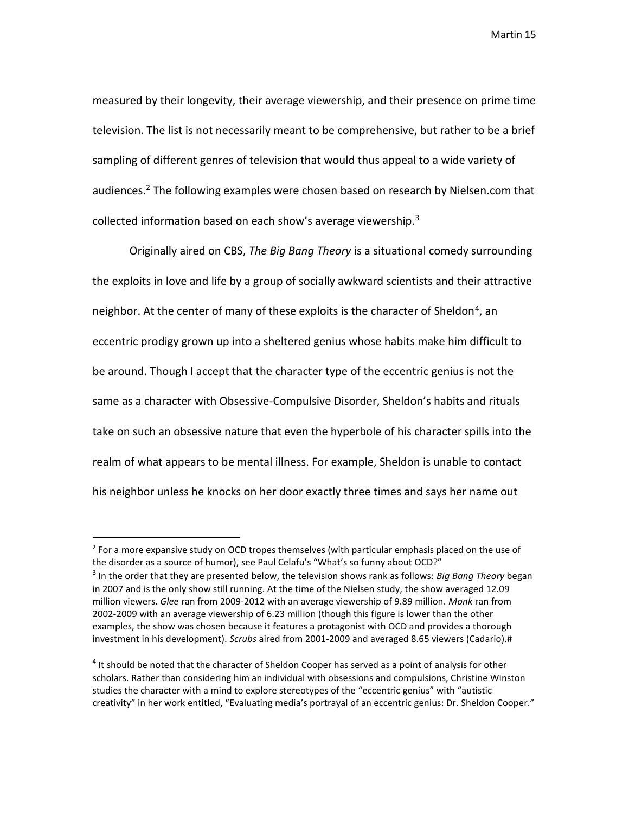measured by their longevity, their average viewership, and their presence on prime time television. The list is not necessarily meant to be comprehensive, but rather to be a brief sampling of different genres of television that would thus appeal to a wide variety of audiences.<sup>2</sup> The following examples were chosen based on research by Nielsen.com that collected information based on each show's average viewership.<sup>3</sup>

Originally aired on CBS, *The Big Bang Theory* is a situational comedy surrounding the exploits in love and life by a group of socially awkward scientists and their attractive neighbor. At the center of many of these exploits is the character of Sheldon<sup>4</sup>, an eccentric prodigy grown up into a sheltered genius whose habits make him difficult to be around. Though I accept that the character type of the eccentric genius is not the same as a character with Obsessive-Compulsive Disorder, Sheldon's habits and rituals take on such an obsessive nature that even the hyperbole of his character spills into the realm of what appears to be mental illness. For example, Sheldon is unable to contact his neighbor unless he knocks on her door exactly three times and says her name out

 $2$  For a more expansive study on OCD tropes themselves (with particular emphasis placed on the use of the disorder as a source of humor), see Paul Celafu's "What's so funny about OCD?" 3 In the order that they are presented below, the television shows rank as follows: *Big Bang Theory* began in 2007 and is the only show still running. At the time of the Nielsen study, the show averaged 12.09 million viewers. *Glee* ran from 2009-2012 with an average viewership of 9.89 million. *Monk* ran from 2002-2009 with an average viewership of 6.23 million (though this figure is lower than the other examples, the show was chosen because it features a protagonist with OCD and provides a thorough investment in his development). *Scrubs* aired from 2001-2009 and averaged 8.65 viewers (Cadario).#

<sup>&</sup>lt;sup>4</sup> It should be noted that the character of Sheldon Cooper has served as a point of analysis for other scholars. Rather than considering him an individual with obsessions and compulsions, Christine Winston studies the character with a mind to explore stereotypes of the "eccentric genius" with "autistic creativity" in her work entitled, "Evaluating media's portrayal of an eccentric genius: Dr. Sheldon Cooper."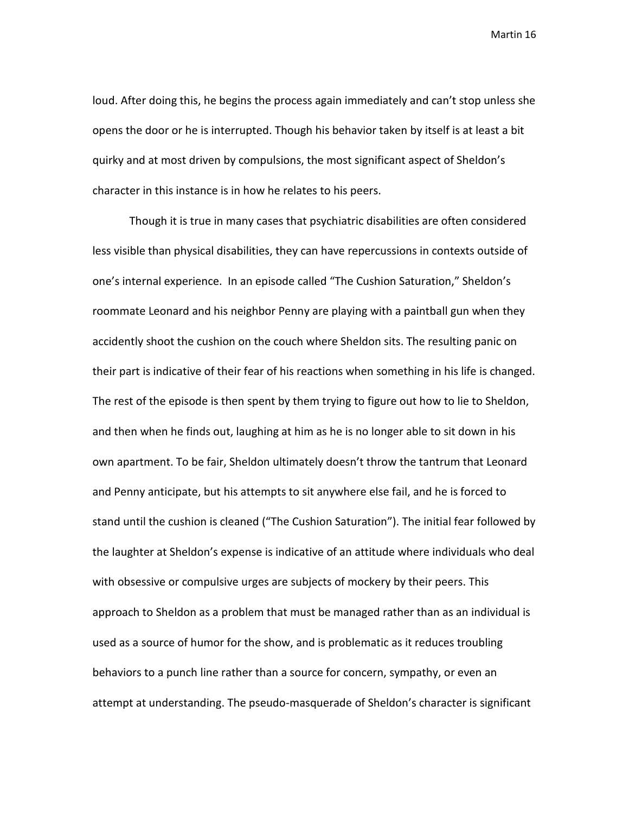loud. After doing this, he begins the process again immediately and can't stop unless she opens the door or he is interrupted. Though his behavior taken by itself is at least a bit quirky and at most driven by compulsions, the most significant aspect of Sheldon's character in this instance is in how he relates to his peers.

Though it is true in many cases that psychiatric disabilities are often considered less visible than physical disabilities, they can have repercussions in contexts outside of one's internal experience. In an episode called "The Cushion Saturation," Sheldon's roommate Leonard and his neighbor Penny are playing with a paintball gun when they accidently shoot the cushion on the couch where Sheldon sits. The resulting panic on their part is indicative of their fear of his reactions when something in his life is changed. The rest of the episode is then spent by them trying to figure out how to lie to Sheldon, and then when he finds out, laughing at him as he is no longer able to sit down in his own apartment. To be fair, Sheldon ultimately doesn't throw the tantrum that Leonard and Penny anticipate, but his attempts to sit anywhere else fail, and he is forced to stand until the cushion is cleaned ("The Cushion Saturation"). The initial fear followed by the laughter at Sheldon's expense is indicative of an attitude where individuals who deal with obsessive or compulsive urges are subjects of mockery by their peers. This approach to Sheldon as a problem that must be managed rather than as an individual is used as a source of humor for the show, and is problematic as it reduces troubling behaviors to a punch line rather than a source for concern, sympathy, or even an attempt at understanding. The pseudo-masquerade of Sheldon's character is significant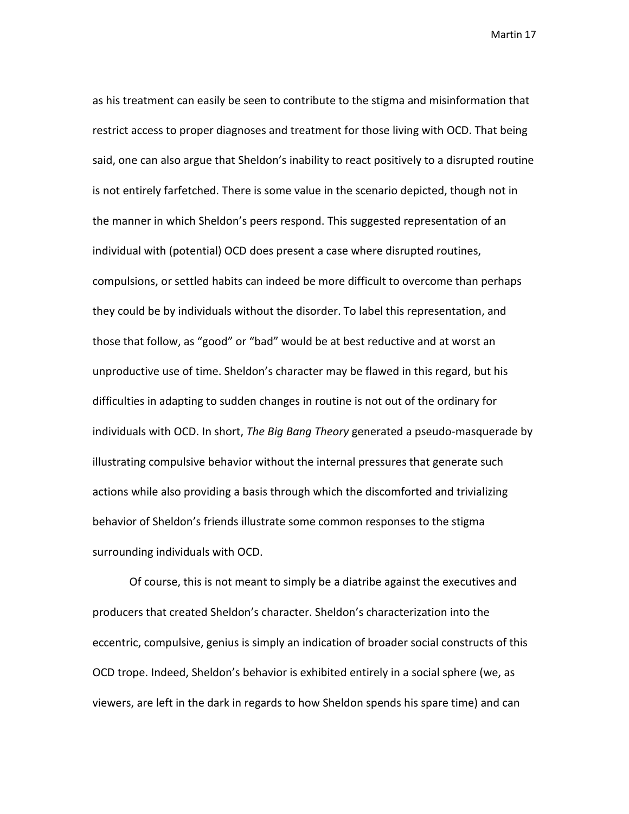as his treatment can easily be seen to contribute to the stigma and misinformation that restrict access to proper diagnoses and treatment for those living with OCD. That being said, one can also argue that Sheldon's inability to react positively to a disrupted routine is not entirely farfetched. There is some value in the scenario depicted, though not in the manner in which Sheldon's peers respond. This suggested representation of an individual with (potential) OCD does present a case where disrupted routines, compulsions, or settled habits can indeed be more difficult to overcome than perhaps they could be by individuals without the disorder. To label this representation, and those that follow, as "good" or "bad" would be at best reductive and at worst an unproductive use of time. Sheldon's character may be flawed in this regard, but his difficulties in adapting to sudden changes in routine is not out of the ordinary for individuals with OCD. In short, *The Big Bang Theory* generated a pseudo-masquerade by illustrating compulsive behavior without the internal pressures that generate such actions while also providing a basis through which the discomforted and trivializing behavior of Sheldon's friends illustrate some common responses to the stigma surrounding individuals with OCD.

Of course, this is not meant to simply be a diatribe against the executives and producers that created Sheldon's character. Sheldon's characterization into the eccentric, compulsive, genius is simply an indication of broader social constructs of this OCD trope. Indeed, Sheldon's behavior is exhibited entirely in a social sphere (we, as viewers, are left in the dark in regards to how Sheldon spends his spare time) and can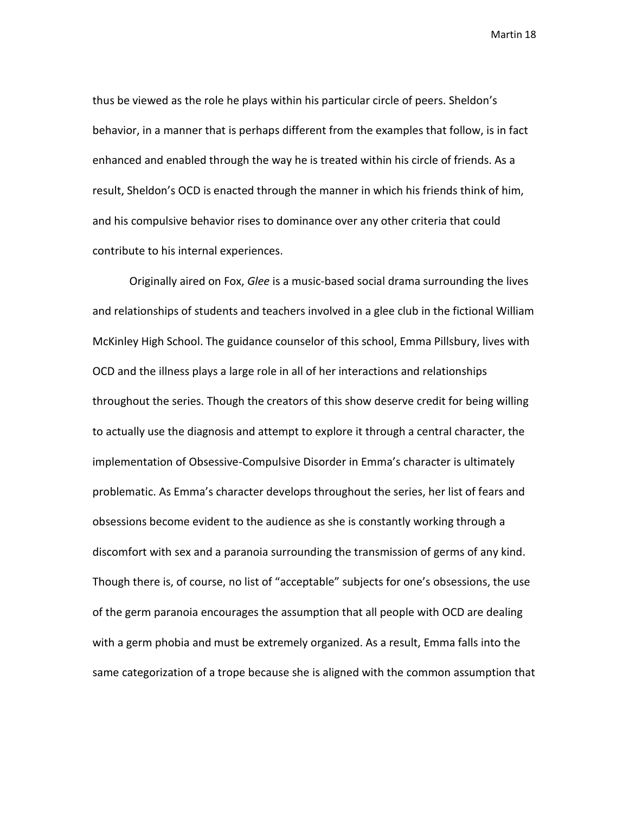thus be viewed as the role he plays within his particular circle of peers. Sheldon's behavior, in a manner that is perhaps different from the examples that follow, is in fact enhanced and enabled through the way he is treated within his circle of friends. As a result, Sheldon's OCD is enacted through the manner in which his friends think of him, and his compulsive behavior rises to dominance over any other criteria that could contribute to his internal experiences.

Originally aired on Fox, *Glee* is a music-based social drama surrounding the lives and relationships of students and teachers involved in a glee club in the fictional William McKinley High School. The guidance counselor of this school, Emma Pillsbury, lives with OCD and the illness plays a large role in all of her interactions and relationships throughout the series. Though the creators of this show deserve credit for being willing to actually use the diagnosis and attempt to explore it through a central character, the implementation of Obsessive-Compulsive Disorder in Emma's character is ultimately problematic. As Emma's character develops throughout the series, her list of fears and obsessions become evident to the audience as she is constantly working through a discomfort with sex and a paranoia surrounding the transmission of germs of any kind. Though there is, of course, no list of "acceptable" subjects for one's obsessions, the use of the germ paranoia encourages the assumption that all people with OCD are dealing with a germ phobia and must be extremely organized. As a result, Emma falls into the same categorization of a trope because she is aligned with the common assumption that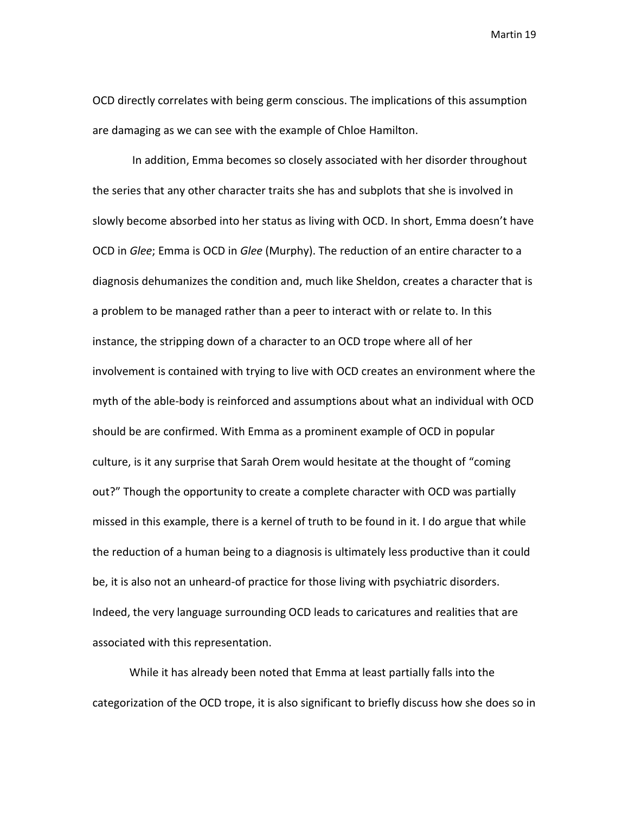OCD directly correlates with being germ conscious. The implications of this assumption are damaging as we can see with the example of Chloe Hamilton.

In addition, Emma becomes so closely associated with her disorder throughout the series that any other character traits she has and subplots that she is involved in slowly become absorbed into her status as living with OCD. In short, Emma doesn't have OCD in *Glee*; Emma is OCD in *Glee* (Murphy). The reduction of an entire character to a diagnosis dehumanizes the condition and, much like Sheldon, creates a character that is a problem to be managed rather than a peer to interact with or relate to. In this instance, the stripping down of a character to an OCD trope where all of her involvement is contained with trying to live with OCD creates an environment where the myth of the able-body is reinforced and assumptions about what an individual with OCD should be are confirmed. With Emma as a prominent example of OCD in popular culture, is it any surprise that Sarah Orem would hesitate at the thought of "coming out?" Though the opportunity to create a complete character with OCD was partially missed in this example, there is a kernel of truth to be found in it. I do argue that while the reduction of a human being to a diagnosis is ultimately less productive than it could be, it is also not an unheard-of practice for those living with psychiatric disorders. Indeed, the very language surrounding OCD leads to caricatures and realities that are associated with this representation.

While it has already been noted that Emma at least partially falls into the categorization of the OCD trope, it is also significant to briefly discuss how she does so in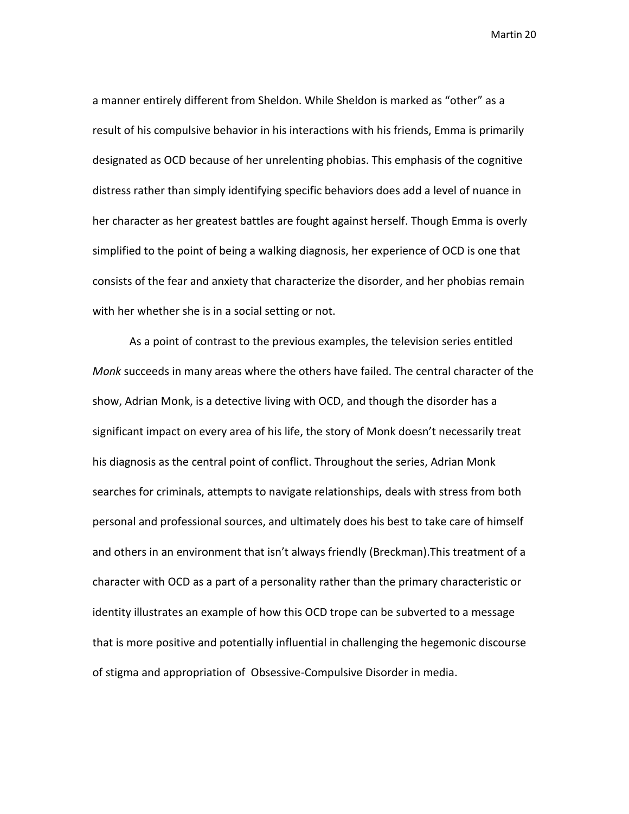a manner entirely different from Sheldon. While Sheldon is marked as "other" as a result of his compulsive behavior in his interactions with his friends, Emma is primarily designated as OCD because of her unrelenting phobias. This emphasis of the cognitive distress rather than simply identifying specific behaviors does add a level of nuance in her character as her greatest battles are fought against herself. Though Emma is overly simplified to the point of being a walking diagnosis, her experience of OCD is one that consists of the fear and anxiety that characterize the disorder, and her phobias remain with her whether she is in a social setting or not.

As a point of contrast to the previous examples, the television series entitled *Monk* succeeds in many areas where the others have failed. The central character of the show, Adrian Monk, is a detective living with OCD, and though the disorder has a significant impact on every area of his life, the story of Monk doesn't necessarily treat his diagnosis as the central point of conflict. Throughout the series, Adrian Monk searches for criminals, attempts to navigate relationships, deals with stress from both personal and professional sources, and ultimately does his best to take care of himself and others in an environment that isn't always friendly (Breckman).This treatment of a character with OCD as a part of a personality rather than the primary characteristic or identity illustrates an example of how this OCD trope can be subverted to a message that is more positive and potentially influential in challenging the hegemonic discourse of stigma and appropriation of Obsessive-Compulsive Disorder in media.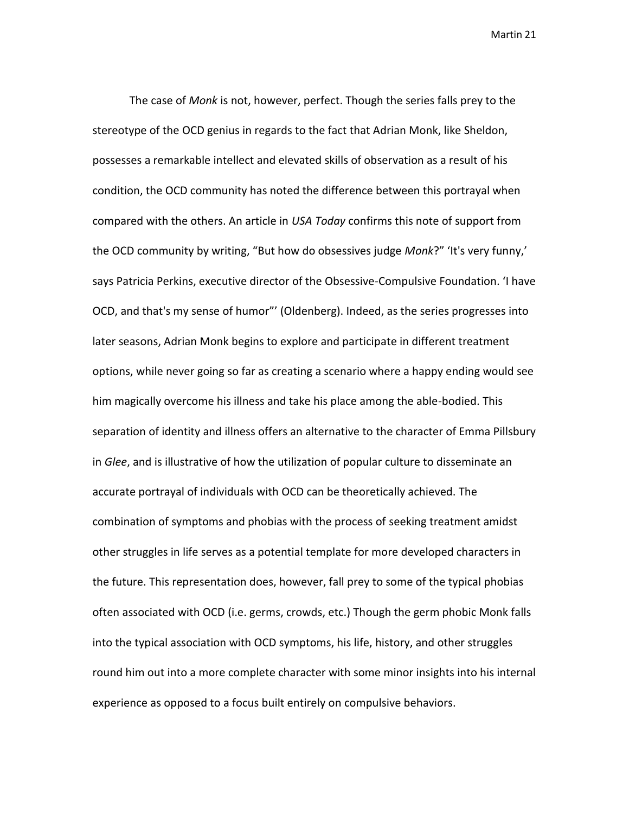The case of *Monk* is not, however, perfect. Though the series falls prey to the stereotype of the OCD genius in regards to the fact that Adrian Monk, like Sheldon, possesses a remarkable intellect and elevated skills of observation as a result of his condition, the OCD community has noted the difference between this portrayal when compared with the others. An article in *USA Today* confirms this note of support from the OCD community by writing, "But how do obsessives judge *Monk*?" 'It's very funny,' says Patricia Perkins, executive director of the Obsessive-Compulsive Foundation. 'I have OCD, and that's my sense of humor"' (Oldenberg). Indeed, as the series progresses into later seasons, Adrian Monk begins to explore and participate in different treatment options, while never going so far as creating a scenario where a happy ending would see him magically overcome his illness and take his place among the able-bodied. This separation of identity and illness offers an alternative to the character of Emma Pillsbury in *Glee*, and is illustrative of how the utilization of popular culture to disseminate an accurate portrayal of individuals with OCD can be theoretically achieved. The combination of symptoms and phobias with the process of seeking treatment amidst other struggles in life serves as a potential template for more developed characters in the future. This representation does, however, fall prey to some of the typical phobias often associated with OCD (i.e. germs, crowds, etc.) Though the germ phobic Monk falls into the typical association with OCD symptoms, his life, history, and other struggles round him out into a more complete character with some minor insights into his internal experience as opposed to a focus built entirely on compulsive behaviors.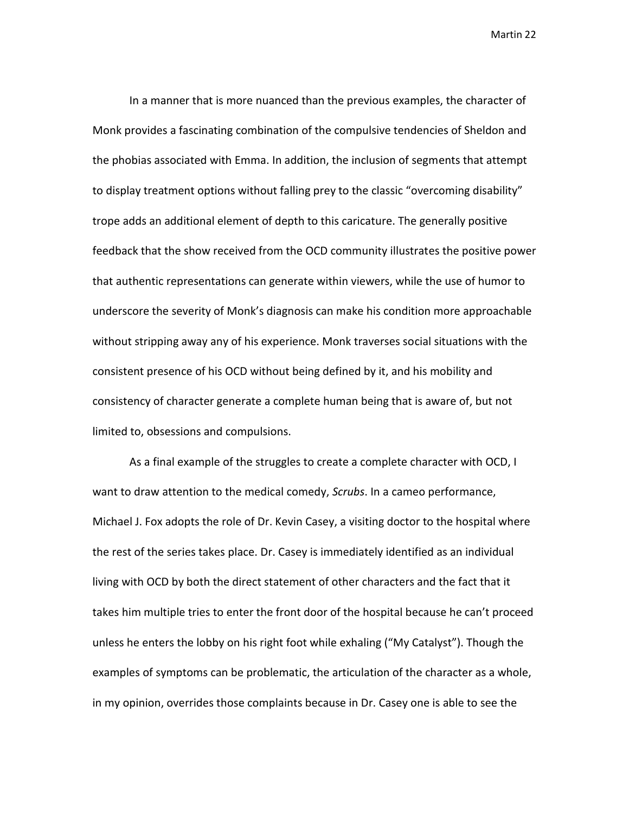In a manner that is more nuanced than the previous examples, the character of Monk provides a fascinating combination of the compulsive tendencies of Sheldon and the phobias associated with Emma. In addition, the inclusion of segments that attempt to display treatment options without falling prey to the classic "overcoming disability" trope adds an additional element of depth to this caricature. The generally positive feedback that the show received from the OCD community illustrates the positive power that authentic representations can generate within viewers, while the use of humor to underscore the severity of Monk's diagnosis can make his condition more approachable without stripping away any of his experience. Monk traverses social situations with the consistent presence of his OCD without being defined by it, and his mobility and consistency of character generate a complete human being that is aware of, but not limited to, obsessions and compulsions.

As a final example of the struggles to create a complete character with OCD, I want to draw attention to the medical comedy, *Scrubs*. In a cameo performance, Michael J. Fox adopts the role of Dr. Kevin Casey, a visiting doctor to the hospital where the rest of the series takes place. Dr. Casey is immediately identified as an individual living with OCD by both the direct statement of other characters and the fact that it takes him multiple tries to enter the front door of the hospital because he can't proceed unless he enters the lobby on his right foot while exhaling ("My Catalyst"). Though the examples of symptoms can be problematic, the articulation of the character as a whole, in my opinion, overrides those complaints because in Dr. Casey one is able to see the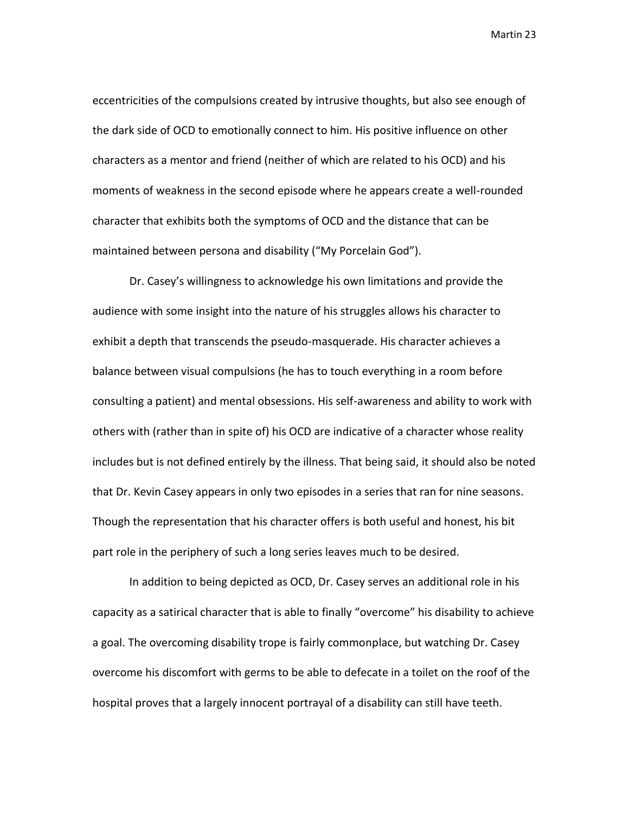eccentricities of the compulsions created by intrusive thoughts, but also see enough of the dark side of OCD to emotionally connect to him. His positive influence on other characters as a mentor and friend (neither of which are related to his OCD) and his moments of weakness in the second episode where he appears create a well-rounded character that exhibits both the symptoms of OCD and the distance that can be maintained between persona and disability ("My Porcelain God").

Dr. Casey's willingness to acknowledge his own limitations and provide the audience with some insight into the nature of his struggles allows his character to exhibit a depth that transcends the pseudo-masquerade. His character achieves a balance between visual compulsions (he has to touch everything in a room before consulting a patient) and mental obsessions. His self-awareness and ability to work with others with (rather than in spite of) his OCD are indicative of a character whose reality includes but is not defined entirely by the illness. That being said, it should also be noted that Dr. Kevin Casey appears in only two episodes in a series that ran for nine seasons. Though the representation that his character offers is both useful and honest, his bit part role in the periphery of such a long series leaves much to be desired.

In addition to being depicted as OCD, Dr. Casey serves an additional role in his capacity as a satirical character that is able to finally "overcome" his disability to achieve a goal. The overcoming disability trope is fairly commonplace, but watching Dr. Casey overcome his discomfort with germs to be able to defecate in a toilet on the roof of the hospital proves that a largely innocent portrayal of a disability can still have teeth.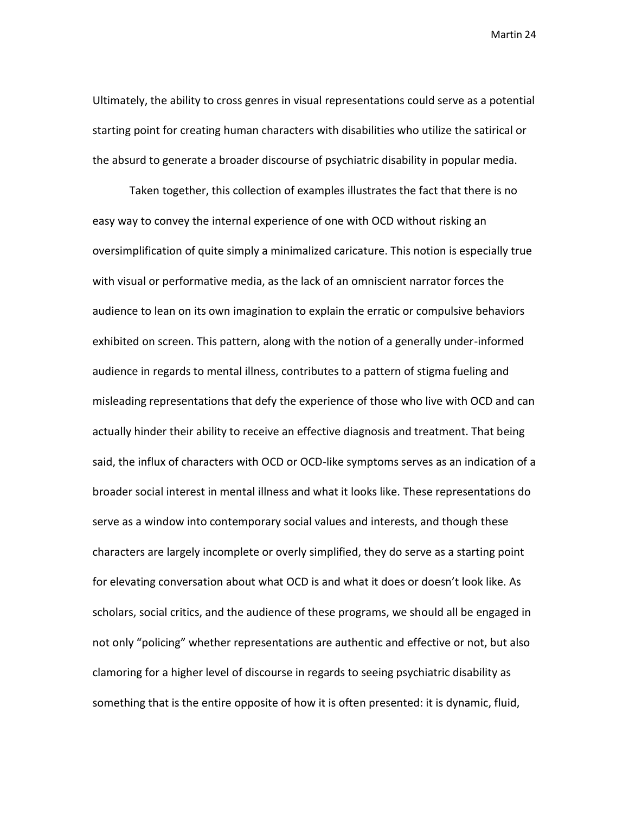Ultimately, the ability to cross genres in visual representations could serve as a potential starting point for creating human characters with disabilities who utilize the satirical or the absurd to generate a broader discourse of psychiatric disability in popular media.

Taken together, this collection of examples illustrates the fact that there is no easy way to convey the internal experience of one with OCD without risking an oversimplification of quite simply a minimalized caricature. This notion is especially true with visual or performative media, as the lack of an omniscient narrator forces the audience to lean on its own imagination to explain the erratic or compulsive behaviors exhibited on screen. This pattern, along with the notion of a generally under-informed audience in regards to mental illness, contributes to a pattern of stigma fueling and misleading representations that defy the experience of those who live with OCD and can actually hinder their ability to receive an effective diagnosis and treatment. That being said, the influx of characters with OCD or OCD-like symptoms serves as an indication of a broader social interest in mental illness and what it looks like. These representations do serve as a window into contemporary social values and interests, and though these characters are largely incomplete or overly simplified, they do serve as a starting point for elevating conversation about what OCD is and what it does or doesn't look like. As scholars, social critics, and the audience of these programs, we should all be engaged in not only "policing" whether representations are authentic and effective or not, but also clamoring for a higher level of discourse in regards to seeing psychiatric disability as something that is the entire opposite of how it is often presented: it is dynamic, fluid,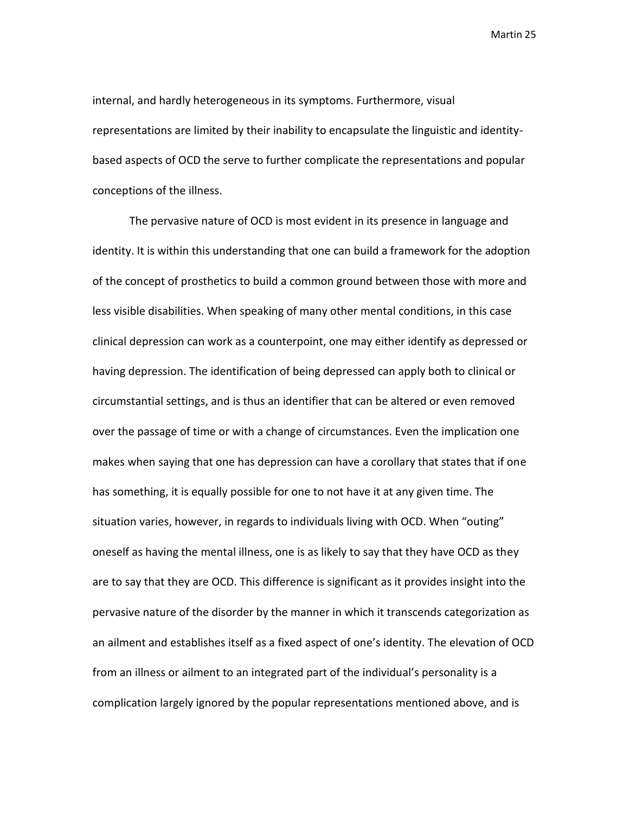internal, and hardly heterogeneous in its symptoms. Furthermore, visual representations are limited by their inability to encapsulate the linguistic and identitybased aspects of OCD the serve to further complicate the representations and popular conceptions of the illness.

The pervasive nature of OCD is most evident in its presence in language and identity. It is within this understanding that one can build a framework for the adoption of the concept of prosthetics to build a common ground between those with more and less visible disabilities. When speaking of many other mental conditions, in this case clinical depression can work as a counterpoint, one may either identify as depressed or having depression. The identification of being depressed can apply both to clinical or circumstantial settings, and is thus an identifier that can be altered or even removed over the passage of time or with a change of circumstances. Even the implication one makes when saying that one has depression can have a corollary that states that if one has something, it is equally possible for one to not have it at any given time. The situation varies, however, in regards to individuals living with OCD. When "outing" oneself as having the mental illness, one is as likely to say that they have OCD as they are to say that they are OCD. This difference is significant as it provides insight into the pervasive nature of the disorder by the manner in which it transcends categorization as an ailment and establishes itself as a fixed aspect of one's identity. The elevation of OCD from an illness or ailment to an integrated part of the individual's personality is a complication largely ignored by the popular representations mentioned above, and is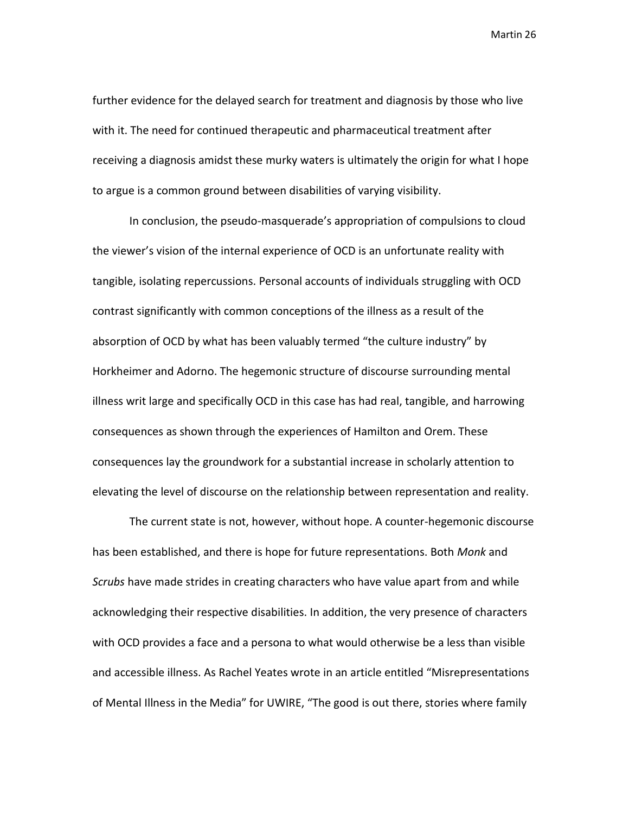further evidence for the delayed search for treatment and diagnosis by those who live with it. The need for continued therapeutic and pharmaceutical treatment after receiving a diagnosis amidst these murky waters is ultimately the origin for what I hope to argue is a common ground between disabilities of varying visibility.

In conclusion, the pseudo-masquerade's appropriation of compulsions to cloud the viewer's vision of the internal experience of OCD is an unfortunate reality with tangible, isolating repercussions. Personal accounts of individuals struggling with OCD contrast significantly with common conceptions of the illness as a result of the absorption of OCD by what has been valuably termed "the culture industry" by Horkheimer and Adorno. The hegemonic structure of discourse surrounding mental illness writ large and specifically OCD in this case has had real, tangible, and harrowing consequences as shown through the experiences of Hamilton and Orem. These consequences lay the groundwork for a substantial increase in scholarly attention to elevating the level of discourse on the relationship between representation and reality.

The current state is not, however, without hope. A counter-hegemonic discourse has been established, and there is hope for future representations. Both *Monk* and *Scrubs* have made strides in creating characters who have value apart from and while acknowledging their respective disabilities. In addition, the very presence of characters with OCD provides a face and a persona to what would otherwise be a less than visible and accessible illness. As Rachel Yeates wrote in an article entitled "Misrepresentations of Mental Illness in the Media" for UWIRE, "The good is out there, stories where family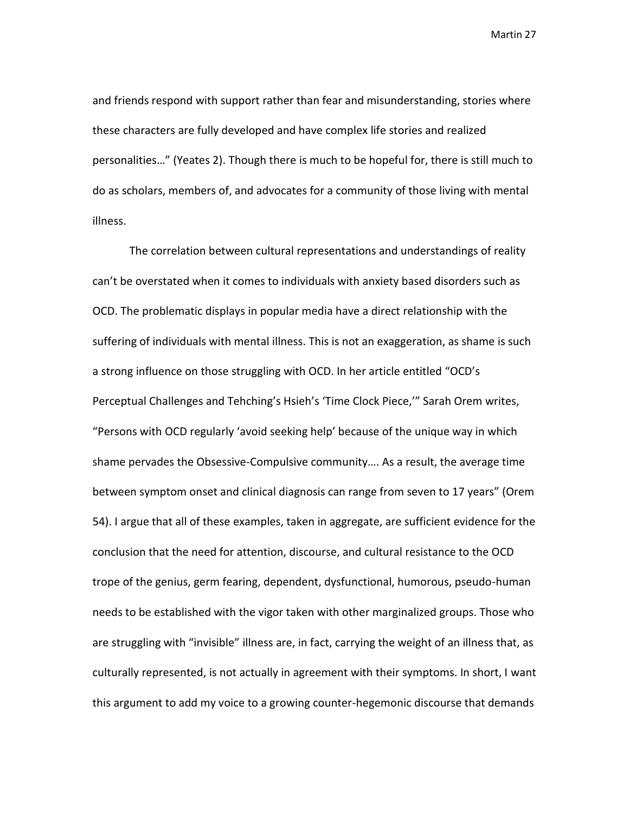and friends respond with support rather than fear and misunderstanding, stories where these characters are fully developed and have complex life stories and realized personalities…" (Yeates 2). Though there is much to be hopeful for, there is still much to do as scholars, members of, and advocates for a community of those living with mental illness.

The correlation between cultural representations and understandings of reality can't be overstated when it comes to individuals with anxiety based disorders such as OCD. The problematic displays in popular media have a direct relationship with the suffering of individuals with mental illness. This is not an exaggeration, as shame is such a strong influence on those struggling with OCD. In her article entitled "OCD's Perceptual Challenges and Tehching's Hsieh's 'Time Clock Piece,'" Sarah Orem writes, "Persons with OCD regularly 'avoid seeking help' because of the unique way in which shame pervades the Obsessive-Compulsive community…. As a result, the average time between symptom onset and clinical diagnosis can range from seven to 17 years" (Orem 54). I argue that all of these examples, taken in aggregate, are sufficient evidence for the conclusion that the need for attention, discourse, and cultural resistance to the OCD trope of the genius, germ fearing, dependent, dysfunctional, humorous, pseudo-human needs to be established with the vigor taken with other marginalized groups. Those who are struggling with "invisible" illness are, in fact, carrying the weight of an illness that, as culturally represented, is not actually in agreement with their symptoms. In short, I want this argument to add my voice to a growing counter-hegemonic discourse that demands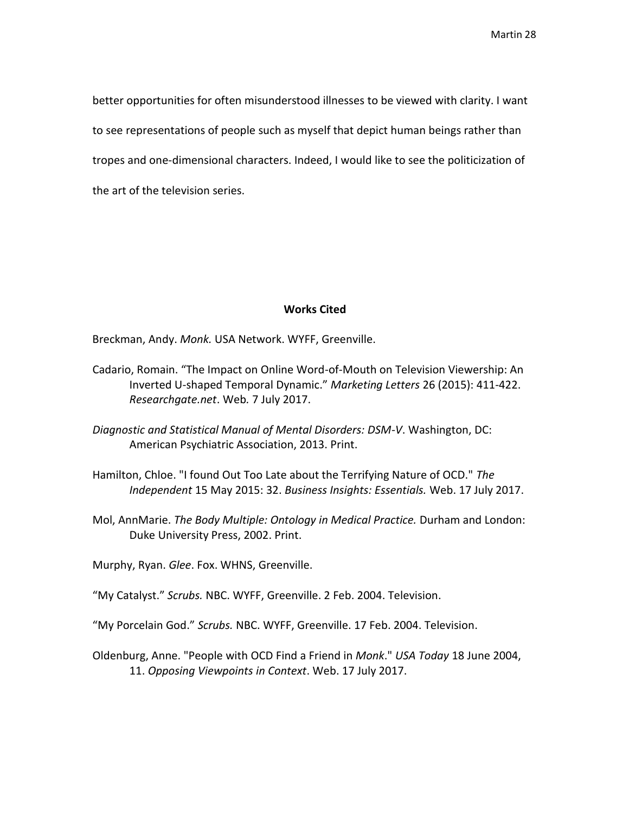better opportunities for often misunderstood illnesses to be viewed with clarity. I want to see representations of people such as myself that depict human beings rather than tropes and one-dimensional characters. Indeed, I would like to see the politicization of the art of the television series.

## **Works Cited**

Breckman, Andy. *Monk.* USA Network. WYFF, Greenville.

- Cadario, Romain. "The Impact on Online Word-of-Mouth on Television Viewership: An Inverted U-shaped Temporal Dynamic." *Marketing Letters* 26 (2015): 411-422. *Researchgate.net*. Web*.* 7 July 2017.
- *Diagnostic and Statistical Manual of Mental Disorders: DSM-V*. Washington, DC: American Psychiatric Association, 2013. Print.
- Hamilton, Chloe. "I found Out Too Late about the Terrifying Nature of OCD." *The Independent* 15 May 2015: 32. *Business Insights: Essentials.* Web. 17 July 2017.
- Mol, AnnMarie. *The Body Multiple: Ontology in Medical Practice.* Durham and London: Duke University Press, 2002. Print.

Murphy, Ryan. *Glee*. Fox. WHNS, Greenville.

"My Catalyst." *Scrubs.* NBC. WYFF, Greenville. 2 Feb. 2004. Television.

"My Porcelain God." *Scrubs.* NBC. WYFF, Greenville. 17 Feb. 2004. Television.

Oldenburg, Anne. "People with OCD Find a Friend in *Monk*." *USA Today* 18 June 2004, 11. *Opposing Viewpoints in Context*. Web. 17 July 2017.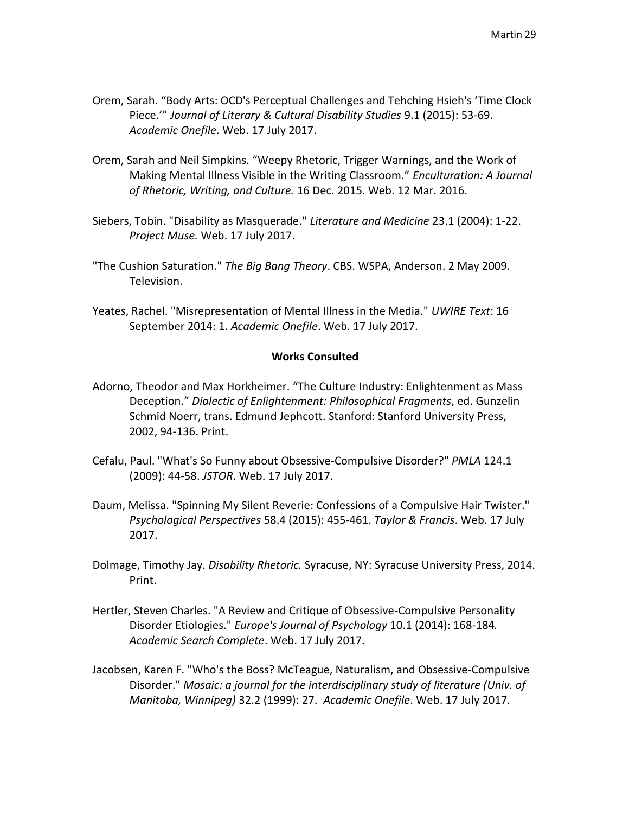- Orem, Sarah. "Body Arts: OCD's Perceptual Challenges and Tehching Hsieh's 'Time Clock Piece.'" *Journal of Literary & Cultural Disability Studies* 9.1 (2015): 53-69. *Academic Onefile*. Web. 17 July 2017.
- Orem, Sarah and Neil Simpkins. "Weepy Rhetoric, Trigger Warnings, and the Work of Making Mental Illness Visible in the Writing Classroom." *Enculturation: A Journal of Rhetoric, Writing, and Culture.* 16 Dec. 2015. Web. 12 Mar. 2016.
- Siebers, Tobin. "Disability as Masquerade." *Literature and Medicine* 23.1 (2004): 1-22. *Project Muse.* Web. 17 July 2017.
- "The Cushion Saturation." *The Big Bang Theory*. CBS. WSPA, Anderson. 2 May 2009. Television.
- Yeates, Rachel. "Misrepresentation of Mental Illness in the Media." *UWIRE Text*: 16 September 2014: 1. *Academic Onefile*. Web. 17 July 2017.

## **Works Consulted**

- Adorno, Theodor and Max Horkheimer. "The Culture Industry: Enlightenment as Mass Deception." *Dialectic of Enlightenment: Philosophical Fragments*, ed. Gunzelin Schmid Noerr, trans. Edmund Jephcott. Stanford: Stanford University Press, 2002, 94-136. Print.
- Cefalu, Paul. "What's So Funny about Obsessive-Compulsive Disorder?" *PMLA* 124.1 (2009): 44-58. *JSTOR*. Web. 17 July 2017.
- Daum, Melissa. "Spinning My Silent Reverie: Confessions of a Compulsive Hair Twister." *Psychological Perspectives* 58.4 (2015): 455-461. *Taylor & Francis*. Web. 17 July 2017.
- Dolmage, Timothy Jay. *Disability Rhetoric.* Syracuse, NY: Syracuse University Press, 2014. Print.
- Hertler, Steven Charles. "A Review and Critique of Obsessive-Compulsive Personality Disorder Etiologies." *Europe's Journal of Psychology* 10.1 (2014): 168-184*. Academic Search Complete*. Web. 17 July 2017.
- Jacobsen, Karen F. "Who's the Boss? McTeague, Naturalism, and Obsessive-Compulsive Disorder." *Mosaic: a journal for the interdisciplinary study of literature (Univ. of Manitoba, Winnipeg)* 32.2 (1999): 27. *Academic Onefile*. Web. 17 July 2017.